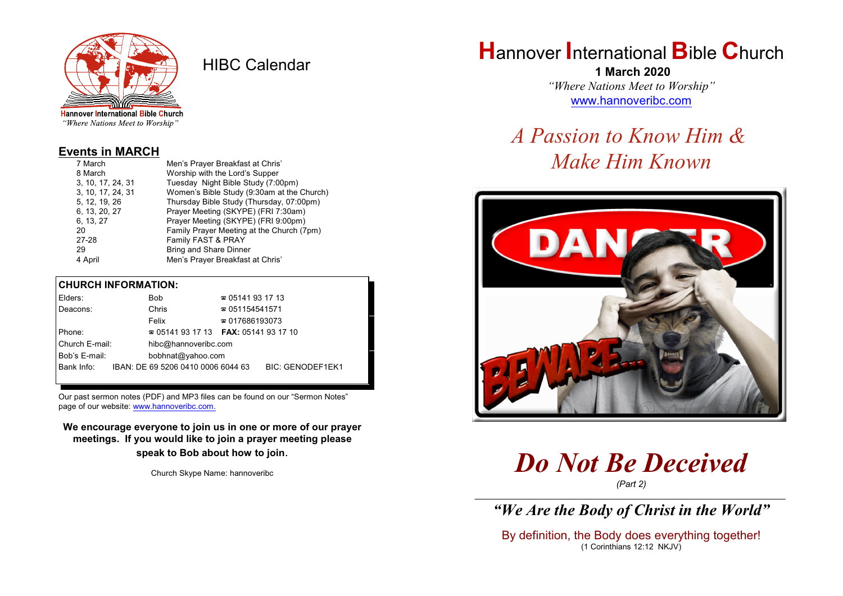

HIBC Calendar

"Where Nations Meet to Worship"

#### **Events in MARCH**

| 7 March           | Men's Prayer Breakfast at Chris'           |  |  |
|-------------------|--------------------------------------------|--|--|
| 8 March           | Worship with the Lord's Supper             |  |  |
| 3, 10, 17, 24, 31 | Tuesday Night Bible Study (7:00pm)         |  |  |
| 3, 10, 17, 24, 31 | Women's Bible Study (9:30am at the Church) |  |  |
| 5, 12, 19, 26     | Thursday Bible Study (Thursday, 07:00pm)   |  |  |
| 6, 13, 20, 27     | Prayer Meeting (SKYPE) (FRI 7:30am)        |  |  |
| 6, 13, 27         | Prayer Meeting (SKYPE) (FRI 9:00pm)        |  |  |
| 20                | Family Prayer Meeting at the Church (7pm)  |  |  |
| $27 - 28$         | Family FAST & PRAY                         |  |  |
| 29                | <b>Bring and Share Dinner</b>              |  |  |
| 4 April           | Men's Prayer Breakfast at Chris'           |  |  |

### **CHURCH INFORMATION:**

| Elders:        | Bob                                      | $\approx 05141931713$  |                         |
|----------------|------------------------------------------|------------------------|-------------------------|
| Deacons:       | Chris                                    | $\approx 051154541571$ |                         |
|                | Felix                                    | $\approx 017686193073$ |                         |
| Phone:         | $\approx 05141931713$ FAX: 0514193 17 10 |                        |                         |
| Church E-mail: | hibc@hannoveribc.com                     |                        |                         |
| Bob's E-mail:  | bobhnat@yahoo.com                        |                        |                         |
| Bank Info:     | IBAN: DE 69 5206 0410 0006 6044 63       |                        | <b>BIC: GENODEF1EK1</b> |
|                |                                          |                        |                         |

Our past sermon notes (PDF) and MP3 files can be found on our "Sermon Notes" page of our website: [www.hannoveribc.com.](http://www.hannoveribc.com.)

**We encourage everyone to join us in one or more of our prayer meetings. If you would like to join a prayer meeting please speak to Bob about how to join**.

Church Skype Name: hannoveribc

# **H**annover **I**nternational **B**ible **C**hurch

 **1 March 2020** *"Where Nations Meet to Worship"* [www.hannoveribc.com](http://www.hannoveribc.com)

# *A Passion to Know Him & Make Him Known*



*Do Not Be Deceived*

*(Part 2)* \_\_\_\_\_\_\_\_\_\_\_\_\_\_\_\_\_\_\_\_\_\_\_\_\_\_\_\_\_\_\_\_\_\_\_\_\_\_\_\_\_\_\_\_\_\_\_\_\_\_\_\_\_\_\_\_\_\_\_\_\_\_

*"We Are the Body of Christ in the World"*

By definition, the Body does everything together! (1 Corinthians 12:12 NKJV)